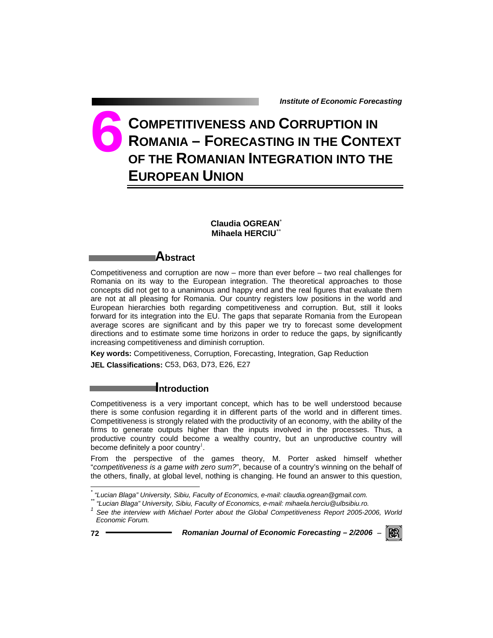# **COMPETITIVENESS AND CORRUPTION IN ROMANIA – FORECASTING IN THE CONTEXT OF THE ROMANIAN INTEGRATION INTO THE EUROPEAN UNION 6**

# **Claudia OGREAN**\* **Mihaela HERCIU**\*\*

# **Abstract**

Competitiveness and corruption are now – more than ever before – two real challenges for Romania on its way to the European integration. The theoretical approaches to those concepts did not get to a unanimous and happy end and the real figures that evaluate them are not at all pleasing for Romania. Our country registers low positions in the world and European hierarchies both regarding competitiveness and corruption. But, still it looks forward for its integration into the EU. The gaps that separate Romania from the European average scores are significant and by this paper we try to forecast some development directions and to estimate some time horizons in order to reduce the gaps, by significantly increasing competitiveness and diminish corruption.

**Key words:** Competitiveness, Corruption, Forecasting, Integration, Gap Reduction **JEL Classifications:** C53, D63, D73, E26, E27

# **Introduction**

Competitiveness is a very important concept, which has to be well understood because there is some confusion regarding it in different parts of the world and in different times. Competitiveness is strongly related with the productivity of an economy, with the ability of the firms to generate outputs higher than the inputs involved in the processes. Thus, a productive country could become a wealthy country, but an unproductive country will become definitely a poor country<sup>1</sup>.

From the perspective of the games theory, M. Porter asked himself whether "*competitiveness is a game with zero sum?*", because of a country's winning on the behalf of the others, finally, at global level, nothing is changing. He found an answer to this question,

l



*<sup>\*</sup> "Lucian Blaga" University, Sibiu, Faculty of Economics, e-mail: claudia.ogrean@gmail.com.* 

*<sup>\*\* &</sup>quot;Lucian Blaga" University, Sibiu, Faculty of Economics, e-mail: mihaela.herciu@ulbsibiu.ro.* 

<sup>&</sup>lt;sup>1</sup> See the interview with Michael Porter about the Global Competitiveness Report 2005-2006, World *Economic Forum.*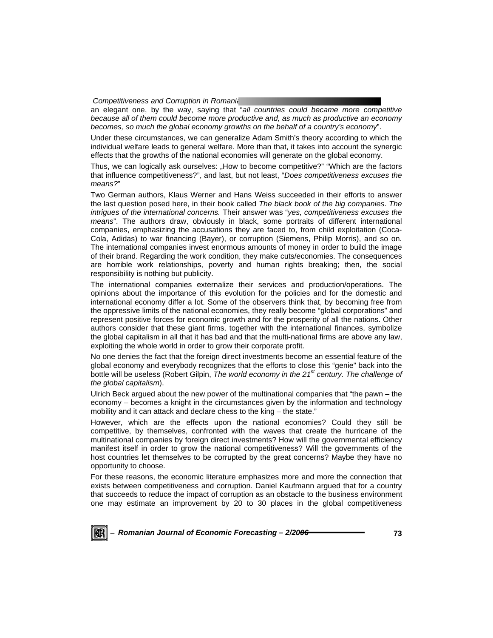an elegant one, by the way, saying that "*all countries could became more competitive because all of them could become more productive and, as much as productive an economy becomes, so much the global economy growths on the behalf of a country's economy*".

Under these circumstances, we can generalize Adam Smith's theory according to which the individual welfare leads to general welfare. More than that, it takes into account the synergic effects that the growths of the national economies will generate on the global economy.

Thus, we can logically ask ourselves: "How to become competitive?" "Which are the factors that influence competitiveness?", and last, but not least, "*Does competitiveness excuses the means?*"

Two German authors, Klaus Werner and Hans Weiss succeeded in their efforts to answer the last question posed here, in their book called *The black book of the big companies*. *The intrigues of the international concerns.* Their answer was "*yes, competitiveness excuses the means*". The authors draw, obviously in black, some portraits of different international companies, emphasizing the accusations they are faced to, from child exploitation (Coca-Cola, Adidas) to war financing (Bayer), or corruption (Siemens, Philip Morris), and so on. The international companies invest enormous amounts of money in order to build the image of their brand. Regarding the work condition, they make cuts/economies. The consequences are horrible work relationships, poverty and human rights breaking; then, the social responsibility is nothing but publicity.

The international companies externalize their services and production/operations. The opinions about the importance of this evolution for the policies and for the domestic and international economy differ a lot. Some of the observers think that, by becoming free from the oppressive limits of the national economies, they really become "global corporations" and represent positive forces for economic growth and for the prosperity of all the nations. Other authors consider that these giant firms, together with the international finances, symbolize the global capitalism in all that it has bad and that the multi-national firms are above any law, exploiting the whole world in order to grow their corporate profit.

No one denies the fact that the foreign direct investments become an essential feature of the global economy and everybody recognizes that the efforts to close this "genie" back into the bottle will be useless (Robert Gilpin, *The world economy in the 21st century. The challenge of the global capitalism*).

Ulrich Beck argued about the new power of the multinational companies that "the pawn – the economy – becomes a knight in the circumstances given by the information and technology mobility and it can attack and declare chess to the king – the state."

However, which are the effects upon the national economies? Could they still be competitive, by themselves, confronted with the waves that create the hurricane of the multinational companies by foreign direct investments? How will the governmental efficiency manifest itself in order to grow the national competitiveness? Will the governments of the host countries let themselves to be corrupted by the great concerns? Maybe they have no opportunity to choose.

For these reasons, the economic literature emphasizes more and more the connection that exists between competitiveness and corruption. Daniel Kaufmann argued that for a country that succeeds to reduce the impact of corruption as an obstacle to the business environment one may estimate an improvement by 20 to 30 places in the global competitiveness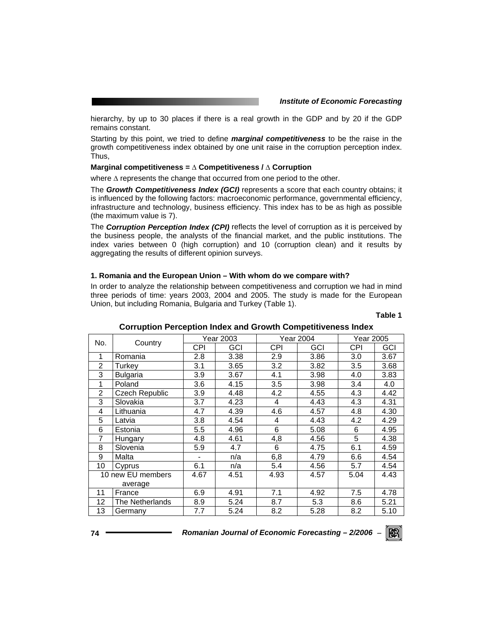hierarchy, by up to 30 places if there is a real growth in the GDP and by 20 if the GDP remains constant.

Starting by this point, we tried to define *marginal competitiveness* to be the raise in the growth competitiveness index obtained by one unit raise in the corruption perception index. Thus,

#### **Marginal competitiveness = ∆ Competitiveness / ∆ Corruption**

where ∆ represents the change that occurred from one period to the other.

The *Growth Competitiveness Index (GCI)* represents a score that each country obtains; it is influenced by the following factors: macroeconomic performance, governmental efficiency, infrastructure and technology, business efficiency. This index has to be as high as possible (the maximum value is 7).

The *Corruption Perception Index (CPI)* reflects the level of corruption as it is perceived by the business people, the analysts of the financial market, and the public institutions. The index varies between 0 (high corruption) and 10 (corruption clean) and it results by aggregating the results of different opinion surveys.

#### **1. Romania and the European Union – With whom do we compare with?**

In order to analyze the relationship between competitiveness and corruption we had in mind three periods of time: years 2003, 2004 and 2005. The study is made for the European Union, but including Romania, Bulgaria and Turkey (Table 1).

#### **Table 1**

|                | Corruption Ferception mues and Growth Competitiveness mues |                  |           |            |      |           |      |  |  |
|----------------|------------------------------------------------------------|------------------|-----------|------------|------|-----------|------|--|--|
| No.            |                                                            |                  | Year 2003 | Year 2004  |      | Year 2005 |      |  |  |
|                | Country                                                    | CPI              | GCI       | <b>CPI</b> | GCI  | CPI       | GCI  |  |  |
| 1              | Romania                                                    | 2.8              | 3.38      | 2.9        | 3.86 | 3.0       | 3.67 |  |  |
| $\overline{2}$ | Turkey                                                     | 3.1              | 3.65      | 3.2        | 3.82 | 3.5       | 3.68 |  |  |
| 3              | Bulgaria                                                   | 3.9              | 3.67      | 4.1        | 3.98 | 4.0       | 3.83 |  |  |
| 1              | Poland                                                     | 3.6              | 4.15      | 3.5        | 3.98 | 3.4       | 4.0  |  |  |
| $\overline{2}$ | Czech Republic                                             | 3.9              | 4.48      | 4.2        | 4.55 | 4.3       | 4.42 |  |  |
| 3              | Slovakia                                                   | 3.7              | 4.23      | 4          | 4.43 | 4.3       | 4.31 |  |  |
| 4              | Lithuania                                                  | 4.7              | 4.39      | 4.6        | 4.57 | 4.8       | 4.30 |  |  |
| 5              | Latvia                                                     | 3.8 <sub>2</sub> | 4.54      | 4          | 4.43 | 4.2       | 4.29 |  |  |
| 6              | Estonia                                                    | 5.5              | 4.96      | 6          | 5.08 | 6         | 4.95 |  |  |
| 7              | Hungary                                                    | 4.8              | 4.61      | 4,8        | 4.56 | 5         | 4.38 |  |  |
| 8              | Slovenia                                                   | 5.9              | 4.7       | 6          | 4.75 | 6.1       | 4.59 |  |  |
| 9              | Malta                                                      |                  | n/a       | 6,8        | 4.79 | 6.6       | 4.54 |  |  |
| 10             | Cyprus                                                     | 6.1              | n/a       | 5.4        | 4.56 | 5.7       | 4.54 |  |  |
|                | 10 new EU members                                          |                  | 4.51      | 4.93       | 4.57 | 5.04      | 4.43 |  |  |
|                | average                                                    |                  |           |            |      |           |      |  |  |
| 11             | France                                                     | 6.9              | 4.91      | 7.1        | 4.92 | 7.5       | 4.78 |  |  |
| 12             | The Netherlands                                            | 8.9              | 5.24      | 8.7        | 5.3  | 8.6       | 5.21 |  |  |
| 13             | Germany                                                    | 7.7              | 5.24      | 8.2        | 5.28 | 8.2       | 5.10 |  |  |

## **Corruption Perception Index and Growth Competitiveness Index**

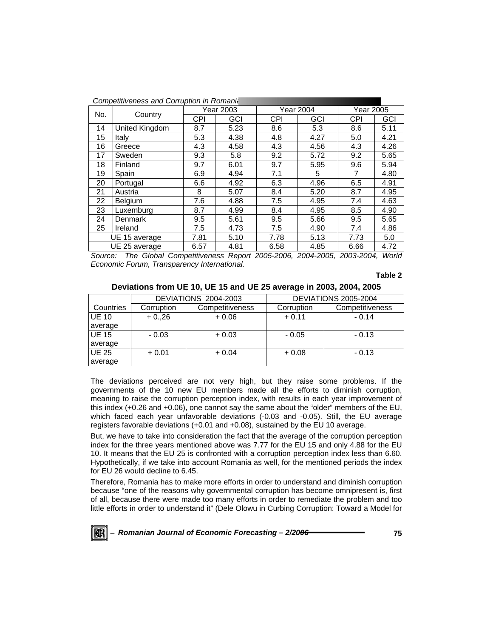| Competitiveness and Corruption in Romania |           |      |                  |           |           |           |  |
|-------------------------------------------|-----------|------|------------------|-----------|-----------|-----------|--|
|                                           | Year 2003 |      | <b>Year 2004</b> |           | Year 2005 |           |  |
|                                           | CPI       | GCI  | <b>CPI</b>       | GCI       | CPI       | GCI       |  |
| United Kingdom                            | 8.7       | 5.23 | 8.6              | 5.3       | 8.6       | 5.11      |  |
| Italy                                     | 5.3       | 4.38 | 4.8              | 4.27      | 5.0       | 4.21      |  |
| Greece                                    | 4.3       | 4.58 | 4.3              | 4.56      | 4.3       | 4.26      |  |
| Sweden                                    | 9.3       | 5.8  | 9.2              | 5.72      | 9.2       | 5.65      |  |
| Finland                                   | 9.7       | 6.01 | 9.7              | 5.95      | 9.6       | 5.94      |  |
| Spain                                     | 6.9       | 4.94 | 7.1              | 5         | 7         | 4.80      |  |
| Portugal                                  | 6.6       | 4.92 | 6.3              | 4.96      | 6.5       | 4.91      |  |
| Austria                                   | 8         | 5.07 | 8.4              | 5.20      | 8.7       | 4.95      |  |
| Belgium                                   | 7.6       | 4.88 | 7.5              | 4.95      | 7.4       | 4.63      |  |
| Luxemburg                                 | 8.7       | 4.99 | 8.4              | 4.95      | 8.5       | 4.90      |  |
| <b>Denmark</b>                            | 9.5       | 5.61 | 9.5              | 5.66      | 9.5       | 5.65      |  |
| Ireland                                   | 7.5       | 4.73 | 7.5              | 4.90      | 7.4       | 4.86      |  |
| UE 15 average                             | 7.81      | 5.10 | 7.78             | 5.13      | 7.73      | 5.0       |  |
| UE 25 average                             | 6.57      | 4.81 | 6.58             | 4.85      | 6.66      | 4.72      |  |
|                                           | Country   |      |                  | 0.0000000 | 0.001000  | 0.0000000 |  |

*Source: The Global Competitiveness Report 2005-2006, 2004-2005, 2003-2004, World Economic Forum, Transparency International.* 

#### **Table 2**

### **Deviations from UE 10, UE 15 and UE 25 average in 2003, 2004, 2005**

|              |            | <b>DEVIATIONS 2004-2003</b> | <b>DEVIATIONS 2005-2004</b> |                 |  |
|--------------|------------|-----------------------------|-----------------------------|-----------------|--|
| Countries    | Corruption | Competitiveness             | Corruption                  | Competitiveness |  |
| <b>UE 10</b> | $+0.0,26$  | $+0.06$                     | $+0.11$                     | $-0.14$         |  |
| average      |            |                             |                             |                 |  |
| <b>UE 15</b> | $-0.03$    | $+0.03$                     | $-0.05$                     | $-0.13$         |  |
| average      |            |                             |                             |                 |  |
| <b>UE 25</b> | $+0.01$    | $+0.04$                     | $+0.08$                     | $-0.13$         |  |
| average      |            |                             |                             |                 |  |

The deviations perceived are not very high, but they raise some problems. If the governments of the 10 new EU members made all the efforts to diminish corruption, meaning to raise the corruption perception index, with results in each year improvement of this index (+0.26 and +0.06), one cannot say the same about the "older" members of the EU, which faced each year unfavorable deviations (-0.03 and -0.05). Still, the EU average registers favorable deviations (+0.01 and +0.08), sustained by the EU 10 average.

But, we have to take into consideration the fact that the average of the corruption perception index for the three years mentioned above was 7.77 for the EU 15 and only 4.88 for the EU 10. It means that the EU 25 is confronted with a corruption perception index less than 6.60. Hypothetically, if we take into account Romania as well, for the mentioned periods the index for EU 26 would decline to 6.45.

Therefore, Romania has to make more efforts in order to understand and diminish corruption because "one of the reasons why governmental corruption has become omnipresent is, first of all, because there were made too many efforts in order to remediate the problem and too little efforts in order to understand it" (Dele Olowu in Curbing Corruption: Toward a Model for

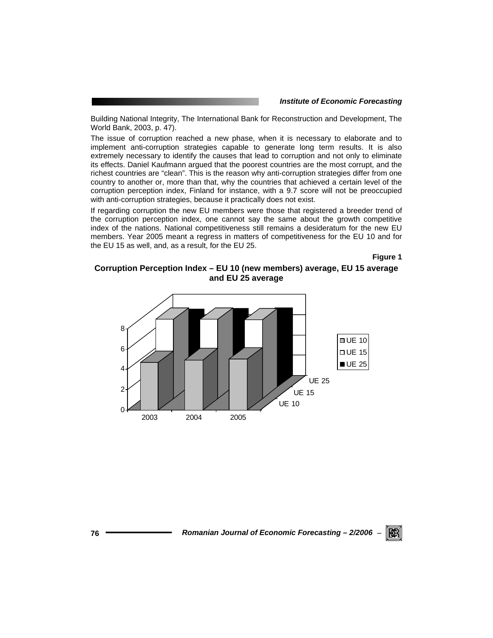Building National Integrity, The International Bank for Reconstruction and Development, The World Bank, 2003, p. 47).

The issue of corruption reached a new phase, when it is necessary to elaborate and to implement anti-corruption strategies capable to generate long term results. It is also extremely necessary to identify the causes that lead to corruption and not only to eliminate its effects. Daniel Kaufmann argued that the poorest countries are the most corrupt, and the richest countries are "clean". This is the reason why anti-corruption strategies differ from one country to another or, more than that, why the countries that achieved a certain level of the corruption perception index, Finland for instance, with a 9.7 score will not be preoccupied with anti-corruption strategies, because it practically does not exist.

If regarding corruption the new EU members were those that registered a breeder trend of the corruption perception index, one cannot say the same about the growth competitive index of the nations. National competitiveness still remains a desideratum for the new EU members. Year 2005 meant a regress in matters of competitiveness for the EU 10 and for the EU 15 as well, and, as a result, for the EU 25.

**Figure 1** 

# **Corruption Perception Index – EU 10 (new members) average, EU 15 average and EU 25 average**



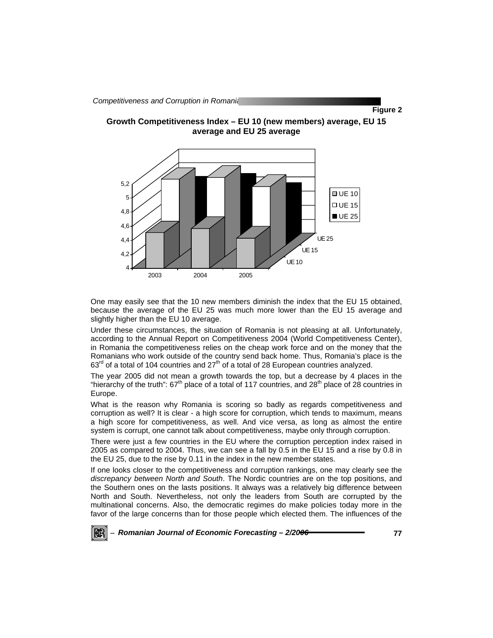

One may easily see that the 10 new members diminish the index that the EU 15 obtained, because the average of the EU 25 was much more lower than the EU 15 average and slightly higher than the EU 10 average.

2003 2004 2005

Under these circumstances, the situation of Romania is not pleasing at all. Unfortunately, according to the Annual Report on Competitiveness 2004 (World Competitiveness Center), in Romania the competitiveness relies on the cheap work force and on the money that the Romanians who work outside of the country send back home. Thus, Romania's place is the  $63<sup>rd</sup>$  of a total of 104 countries and 27<sup>th</sup> of a total of 28 European countries analyzed.

The year 2005 did not mean a growth towards the top, but a decrease by 4 places in the "hierarchy of the truth":  $67<sup>th</sup>$  place of a total of 117 countries, and  $28<sup>th</sup>$  place of 28 countries in Europe.

What is the reason why Romania is scoring so badly as regards competitiveness and corruption as well? It is clear - a high score for corruption, which tends to maximum, means a high score for competitiveness, as well. And vice versa, as long as almost the entire system is corrupt, one cannot talk about competitiveness, maybe only through corruption.

There were just a few countries in the EU where the corruption perception index raised in 2005 as compared to 2004. Thus, we can see a fall by 0.5 in the EU 15 and a rise by 0.8 in the EU 25, due to the rise by 0.11 in the index in the new member states.

If one looks closer to the competitiveness and corruption rankings, one may clearly see the *discrepancy between North and South*. The Nordic countries are on the top positions, and the Southern ones on the lasts positions. It always was a relatively big difference between North and South. Nevertheless, not only the leaders from South are corrupted by the multinational concerns. Also, the democratic regimes do make policies today more in the favor of the large concerns than for those people which elected them. The influences of the



<sup>−</sup> *Romanian Journal of Economic Forecasting – 2/2006* **77**

**Figure 2**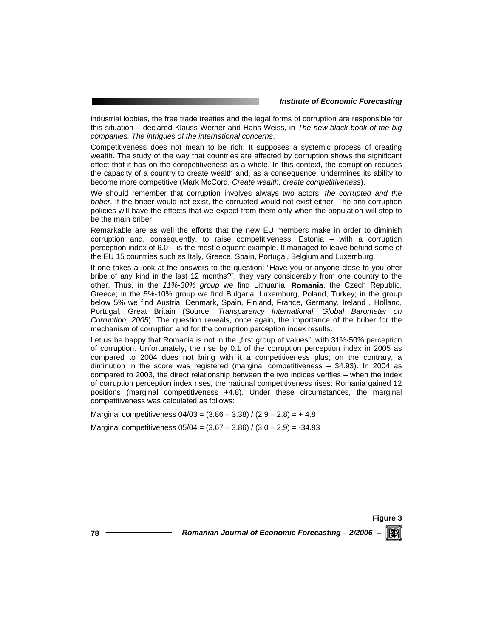industrial lobbies, the free trade treaties and the legal forms of corruption are responsible for this situation – declared Klauss Werner and Hans Weiss, in *The new black book of the big companies. The intrigues of the international concerns*.

Competitiveness does not mean to be rich. It supposes a systemic process of creating wealth. The study of the way that countries are affected by corruption shows the significant effect that it has on the competitiveness as a whole. In this context, the corruption reduces the capacity of a country to create wealth and, as a consequence, undermines its ability to become more competitive (Mark McCord, *Create wealth, create competitiveness*).

We should remember that corruption involves always two actors: *the corrupted and the briber*. If the briber would not exist, the corrupted would not exist either. The anti-corruption policies will have the effects that we expect from them only when the population will stop to be the main briber.

Remarkable are as well the efforts that the new EU members make in order to diminish corruption and, consequently, to raise competitiveness. Estonia – with a corruption perception index of 6.0 – is the most eloquent example. It managed to leave behind some of the EU 15 countries such as Italy, Greece, Spain, Portugal, Belgium and Luxemburg.

If one takes a look at the answers to the question: "Have you or anyone close to you offer bribe of any kind in the last 12 months?", they vary considerably from one country to the other. Thus, in the *11%-30% group* we find Lithuania, **Romania**, the Czech Republic, Greece; in the 5%-10% group we find Bulgaria, Luxemburg, Poland, Turkey; in the group below 5% we find Austria, Denmark, Spain, Finland, France, Germany, Ireland , Holland, Portugal, Great Britain (Source: *Transparency International, Global Barometer on Corruption, 2005*). The question reveals, once again, the importance of the briber for the mechanism of corruption and for the corruption perception index results.

Let us be happy that Romania is not in the "first group of values", with 31%-50% perception of corruption. Unfortunately, the rise by 0.1 of the corruption perception index in 2005 as compared to 2004 does not bring with it a competitiveness plus; on the contrary, a diminution in the score was registered (marginal competitiveness – 34.93). In 2004 as compared to 2003, the direct relationship between the two indices verifies – when the index of corruption perception index rises, the national competitiveness rises: Romania gained 12 positions (marginal competitiveness +4.8). Under these circumstances, the marginal competitiveness was calculated as follows:

Marginal competitiveness  $04/03 = (3.86 - 3.38) / (2.9 - 2.8) = +4.8$ 

Marginal competitiveness  $05/04 = (3.67 - 3.86) / (3.0 - 2.9) = -34.93$ 

**Figure 3 78** *Romanian Journal of Economic Forecasting – 2/2006* <sup>−</sup> KR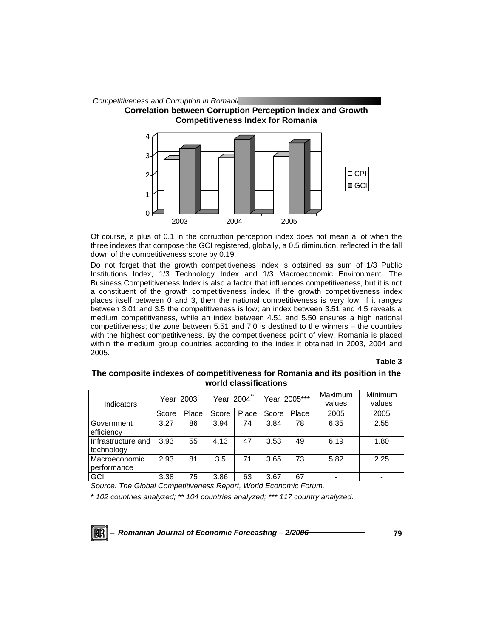

Of course, a plus of 0.1 in the corruption perception index does not mean a lot when the three indexes that compose the GCI registered, globally, a 0.5 diminution, reflected in the fall down of the competitiveness score by 0.19.

Do not forget that the growth competitiveness index is obtained as sum of 1/3 Public Institutions Index, 1/3 Technology Index and 1/3 Macroeconomic Environment. The Business Competitiveness Index is also a factor that influences competitiveness, but it is not a constituent of the growth competitiveness index. If the growth competitiveness index places itself between 0 and 3, then the national competitiveness is very low; if it ranges between 3.01 and 3.5 the competitiveness is low; an index between 3.51 and 4.5 reveals a medium competitiveness, while an index between 4.51 and 5.50 ensures a high national competitiveness; the zone between 5.51 and 7.0 is destined to the winners – the countries with the highest competitiveness. By the competitiveness point of view, Romania is placed within the medium group countries according to the index it obtained in 2003, 2004 and 2005.

#### **Table 3**

# **The composite indexes of competitiveness for Romania and its position in the world classifications**

| Indicators                       | Year 2003 |       | **<br>Year 2004 |       | Year 2005*** |       | Maximum<br>values | Minimum<br>values |
|----------------------------------|-----------|-------|-----------------|-------|--------------|-------|-------------------|-------------------|
|                                  | Score     | Place | Score           | Place | Score        | Place | 2005              | 2005              |
| Government<br>efficiency         | 3.27      | 86    | 3.94            | 74    | 3.84         | 78    | 6.35              | 2.55              |
| Infrastructure and<br>technology | 3.93      | 55    | 4.13            | 47    | 3.53         | 49    | 6.19              | 1.80              |
| Macroeconomic<br>performance     | 2.93      | 81    | 3.5             | 71    | 3.65         | 73    | 5.82              | 2.25              |
| GCI                              | 3.38      | 75    | 3.86            | 63    | 3.67         | 67    |                   |                   |

*Source: The Global Competitiveness Report, World Economic Forum.* 

*\* 102 countries analyzed; \*\* 104 countries analyzed; \*\*\* 117 country analyzed.* 

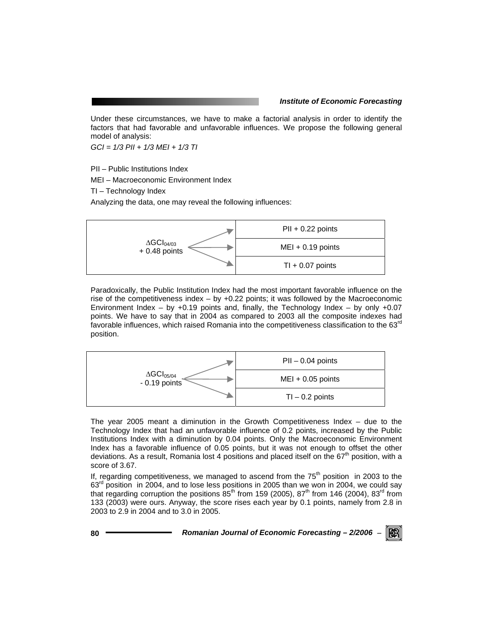Under these circumstances, we have to make a factorial analysis in order to identify the factors that had favorable and unfavorable influences. We propose the following general model of analysis:

*GCI = 1/3 PII + 1/3 MEI + 1/3 TI* 

PII – Public Institutions Index

MEI – Macroeconomic Environment Index

TI – Technology Index

Analyzing the data, one may reveal the following influences:



Paradoxically, the Public Institution Index had the most important favorable influence on the rise of the competitiveness index  $-$  by  $+0.22$  points; it was followed by the Macroeconomic Environment Index – by  $+0.19$  points and, finally, the Technology Index – by only  $+0.07$ points. We have to say that in 2004 as compared to 2003 all the composite indexes had favorable influences, which raised Romania into the competitiveness classification to the 63<sup>rd</sup> position.



The year 2005 meant a diminution in the Growth Competitiveness Index – due to the Technology Index that had an unfavorable influence of 0.2 points, increased by the Public Institutions Index with a diminution by 0.04 points. Only the Macroeconomic Environment Index has a favorable influence of 0.05 points, but it was not enough to offset the other deviations. As a result, Romania lost 4 positions and placed itself on the  $67<sup>th</sup>$  position, with a score of 3.67.

If, regarding competitiveness, we managed to ascend from the  $75<sup>th</sup>$  position in 2003 to the 63<sup>rd</sup> position in 2004, and to lose less positions in 2005 than we won in 2004, we could say that regarding corruption the positions  $85<sup>th</sup>$  from 159 (2005),  $87<sup>th</sup>$  from 146 (2004),  $83<sup>rd</sup>$  from 133 (2003) were ours. Anyway, the score rises each year by 0.1 points, namely from 2.8 in 2003 to 2.9 in 2004 and to 3.0 in 2005.

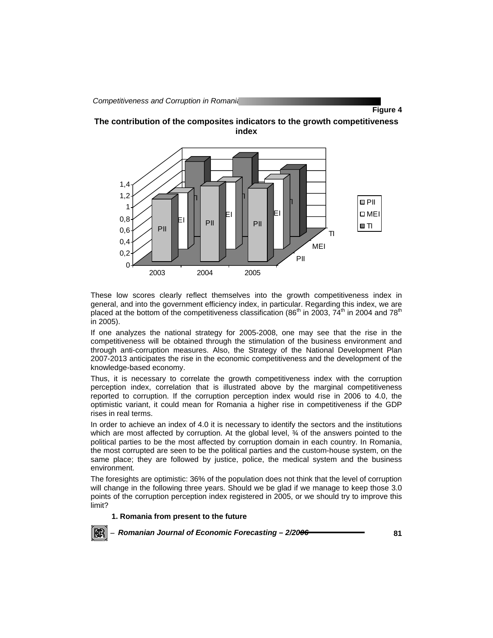**Figure 4** 





These low scores clearly reflect themselves into the growth competitiveness index in general, and into the government efficiency index, in particular. Regarding this index, we are placed at the bottom of the competitiveness classification (86<sup>th</sup> in 2003, 74<sup>th</sup> in 2004 and 78<sup>th</sup> in 2005).

If one analyzes the national strategy for 2005-2008, one may see that the rise in the competitiveness will be obtained through the stimulation of the business environment and through anti-corruption measures. Also, the Strategy of the National Development Plan 2007-2013 anticipates the rise in the economic competitiveness and the development of the knowledge-based economy.

Thus, it is necessary to correlate the growth competitiveness index with the corruption perception index, correlation that is illustrated above by the marginal competitiveness reported to corruption. If the corruption perception index would rise in 2006 to 4.0, the optimistic variant, it could mean for Romania a higher rise in competitiveness if the GDP rises in real terms.

In order to achieve an index of 4.0 it is necessary to identify the sectors and the institutions which are most affected by corruption. At the global level,  $\frac{3}{4}$  of the answers pointed to the political parties to be the most affected by corruption domain in each country. In Romania, the most corrupted are seen to be the political parties and the custom-house system, on the same place; they are followed by justice, police, the medical system and the business environment.

The foresights are optimistic: 36% of the population does not think that the level of corruption will change in the following three years. Should we be glad if we manage to keep those 3.0 points of the corruption perception index registered in 2005, or we should try to improve this limit?

#### **1. Romania from present to the future**

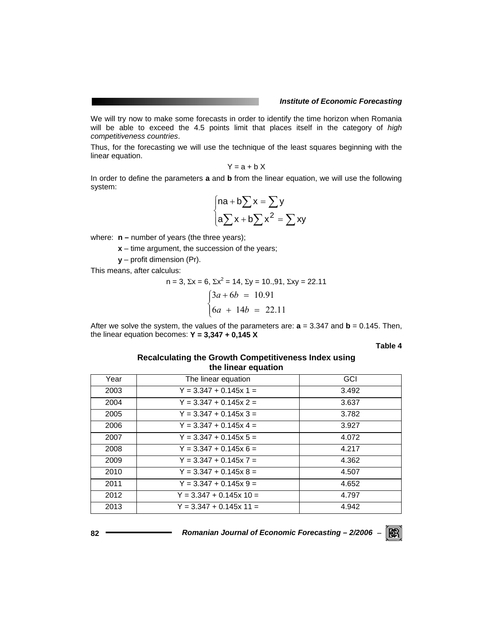We will try now to make some forecasts in order to identify the time horizon when Romania will be able to exceed the 4.5 points limit that places itself in the category of *high competitiveness countries*.

Thus, for the forecasting we will use the technique of the least squares beginning with the linear equation.

$$
Y = a + b X
$$

In order to define the parameters **a** and **b** from the linear equation, we will use the following system:

$$
\begin{cases} \n\mathsf{na} + \mathsf{b} \sum \mathsf{x} = \sum \mathsf{y} \\ \n\mathsf{a} \sum \mathsf{x} + \mathsf{b} \sum \mathsf{x}^2 = \sum \mathsf{x} \mathsf{y} \n\end{cases}
$$

where:  $n$  – number of years (the three years);

- **x** time argument, the succession of the years;
- **y**  profit dimension (Pr).

This means, after calculus:

n = 3, 
$$
\Sigma x = 6
$$
,  $\Sigma x^2 = 14$ ,  $\Sigma y = 10,91$ ,  $\Sigma xy = 22.11$   
\n
$$
\begin{cases}\n3a + 6b = 10.91 \\
6a + 14b = 22.11\n\end{cases}
$$

After we solve the system, the values of the parameters are:  $a = 3.347$  and  $b = 0.145$ . Then, the linear equation becomes: **Y = 3,347 + 0,145 X** 

**Table 4** 

RGRI

## **Recalculating the Growth Competitiveness Index using the linear equation**

| Year | The linear equation       | GCI   |
|------|---------------------------|-------|
| 2003 | $Y = 3.347 + 0.145x 1 =$  | 3.492 |
| 2004 | $Y = 3.347 + 0.145x$ 2 =  | 3.637 |
| 2005 | $Y = 3.347 + 0.145x 3 =$  | 3.782 |
| 2006 | $Y = 3.347 + 0.145x 4 =$  | 3.927 |
| 2007 | $Y = 3.347 + 0.145x 5 =$  | 4.072 |
| 2008 | $Y = 3.347 + 0.145x 6 =$  | 4.217 |
| 2009 | $Y = 3.347 + 0.145x$ 7 =  | 4.362 |
| 2010 | $Y = 3.347 + 0.145x 8 =$  | 4.507 |
| 2011 | $Y = 3.347 + 0.145x 9 =$  | 4.652 |
| 2012 | $Y = 3.347 + 0.145x 10 =$ | 4.797 |
| 2013 | $Y = 3.347 + 0.145x 11 =$ | 4.942 |
|      |                           |       |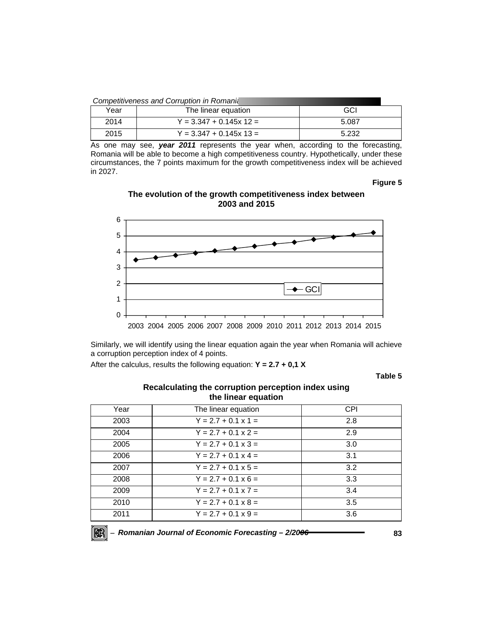| Competitiveness and Corruption in Romania |                           |       |  |  |  |
|-------------------------------------------|---------------------------|-------|--|--|--|
| GCI<br>Year<br>The linear equation        |                           |       |  |  |  |
| 2014                                      | $Y = 3.347 + 0.145x 12 =$ | 5.087 |  |  |  |
| 2015                                      | $Y = 3.347 + 0.145x 13 =$ | 5.232 |  |  |  |

As one may see, *year 2011* represents the year when, according to the forecasting, Romania will be able to become a high competitiveness country. Hypothetically, under these circumstances, the 7 points maximum for the growth competitiveness index will be achieved in 2027.

#### **Figure 5**

# **The evolution of the growth competitiveness index between 2003 and 2015**



Similarly, we will identify using the linear equation again the year when Romania will achieve a corruption perception index of 4 points.

After the calculus, results the following equation: **Y = 2.7 + 0,1 X** 

**Table 5** 

## **Recalculating the corruption perception index using the linear equation**

| Year | The linear equation        | <b>CPI</b> |
|------|----------------------------|------------|
| 2003 | $Y = 2.7 + 0.1 \times 1 =$ | 2.8        |
| 2004 | $Y = 2.7 + 0.1 \times 2 =$ | 2.9        |
| 2005 | $Y = 2.7 + 0.1 \times 3 =$ | 3.0        |
| 2006 | $Y = 2.7 + 0.1 \times 4 =$ | 3.1        |
| 2007 | $Y = 2.7 + 0.1 \times 5 =$ | 3.2        |
| 2008 | $Y = 2.7 + 0.1 \times 6 =$ | 3.3        |
| 2009 | $Y = 2.7 + 0.1 \times 7 =$ | 3.4        |
| 2010 | $Y = 2.7 + 0.1 \times 8 =$ | 3.5        |
| 2011 | $Y = 2.7 + 0.1 \times 9 =$ | 3.6        |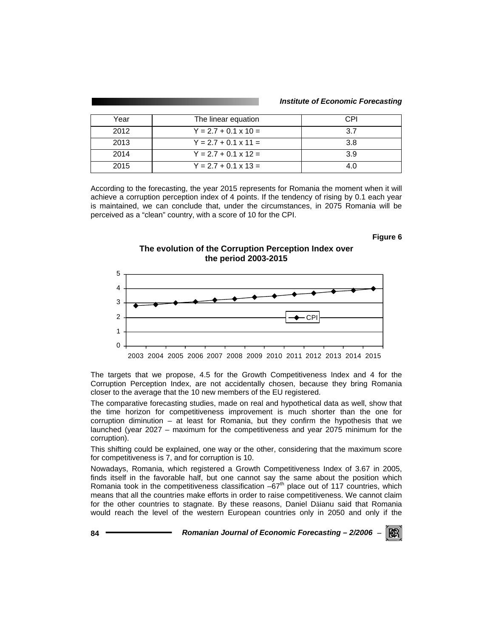| Year | The linear equation         | C.PI |
|------|-----------------------------|------|
| 2012 | $Y = 2.7 + 0.1 \times 10 =$ | २ 7  |
| 2013 | $Y = 2.7 + 0.1 \times 11 =$ | 3.8  |
| 2014 | $Y = 2.7 + 0.1 \times 12 =$ | 3.9  |
| 2015 | $Y = 2.7 + 0.1 \times 13 =$ | ⊿ ∩  |

According to the forecasting, the year 2015 represents for Romania the moment when it will achieve a corruption perception index of 4 points. If the tendency of rising by 0.1 each year is maintained, we can conclude that, under the circumstances, in 2075 Romania will be perceived as a "clean" country, with a score of 10 for the CPI.

#### **Figure 6**

# **The evolution of the Corruption Perception Index over the period 2003-2015**



The targets that we propose, 4.5 for the Growth Competitiveness Index and 4 for the Corruption Perception Index, are not accidentally chosen, because they bring Romania closer to the average that the 10 new members of the EU registered.

The comparative forecasting studies, made on real and hypothetical data as well, show that the time horizon for competitiveness improvement is much shorter than the one for corruption diminution – at least for Romania, but they confirm the hypothesis that we launched (year 2027 – maximum for the competitiveness and year 2075 minimum for the corruption).

This shifting could be explained, one way or the other, considering that the maximum score for competitiveness is 7, and for corruption is 10.

Nowadays, Romania, which registered a Growth Competitiveness Index of 3.67 in 2005, finds itself in the favorable half, but one cannot say the same about the position which Romania took in the competitiveness classification  $-67<sup>th</sup>$  place out of 117 countries, which means that all the countries make efforts in order to raise competitiveness. We cannot claim for the other countries to stagnate. By these reasons, Daniel Dăianu said that Romania would reach the level of the western European countries only in 2050 and only if the

**84** *Romanian Journal of Economic Forecasting – 2/2006* <sup>−</sup> IKERI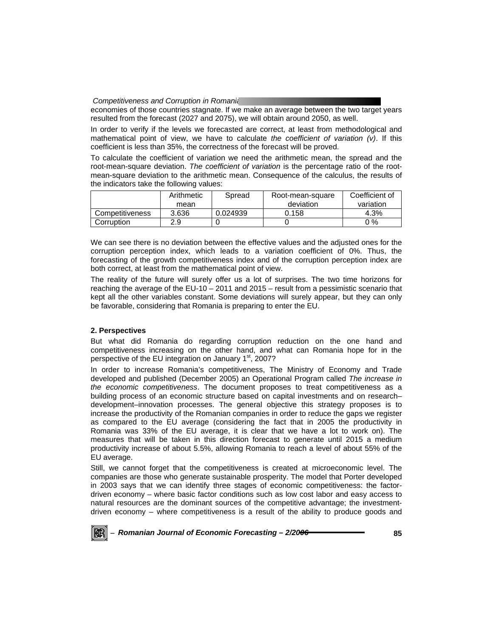economies of those countries stagnate. If we make an average between the two target years resulted from the forecast (2027 and 2075), we will obtain around 2050, as well.

In order to verify if the levels we forecasted are correct, at least from methodological and mathematical point of view, we have to calculate *the coefficient of variation (v)*. If this coefficient is less than 35%, the correctness of the forecast will be proved.

To calculate the coefficient of variation we need the arithmetic mean, the spread and the root-mean-square deviation. *The coefficient of variation* is the percentage ratio of the rootmean-square deviation to the arithmetic mean. Consequence of the calculus, the results of the indicators take the following values:

|                 | Arithmetic | Spread   | Root-mean-square | Coefficient of |
|-----------------|------------|----------|------------------|----------------|
|                 | mean       |          | deviation        | variation      |
| Competitiveness | 3.636      | 0.024939 | 0.158            | 4.3%           |
| Corruption      | 2.9        |          |                  | ን %            |

We can see there is no deviation between the effective values and the adjusted ones for the corruption perception index, which leads to a variation coefficient of 0%. Thus, the forecasting of the growth competitiveness index and of the corruption perception index are both correct, at least from the mathematical point of view.

The reality of the future will surely offer us a lot of surprises. The two time horizons for reaching the average of the EU-10 – 2011 and 2015 – result from a pessimistic scenario that kept all the other variables constant. Some deviations will surely appear, but they can only be favorable, considering that Romania is preparing to enter the EU.

# **2. Perspectives**

But what did Romania do regarding corruption reduction on the one hand and competitiveness increasing on the other hand, and what can Romania hope for in the perspective of the EU integration on January  $1<sup>st</sup>$ , 2007?

In order to increase Romania's competitiveness, The Ministry of Economy and Trade developed and published (December 2005) an Operational Program called *The increase in the economic competitiveness*. The document proposes to treat competitiveness as a building process of an economic structure based on capital investments and on research– development–innovation processes. The general objective this strategy proposes is to increase the productivity of the Romanian companies in order to reduce the gaps we register as compared to the EU average (considering the fact that in 2005 the productivity in Romania was 33% of the EU average, it is clear that we have a lot to work on). The measures that will be taken in this direction forecast to generate until 2015 a medium productivity increase of about 5.5%, allowing Romania to reach a level of about 55% of the EU average.

Still, we cannot forget that the competitiveness is created at microeconomic level. The companies are those who generate sustainable prosperity. The model that Porter developed in 2003 says that we can identify three stages of economic competitiveness: the factordriven economy – where basic factor conditions such as low cost labor and easy access to natural resources are the dominant sources of the competitive advantage; the investmentdriven economy – where competitiveness is a result of the ability to produce goods and

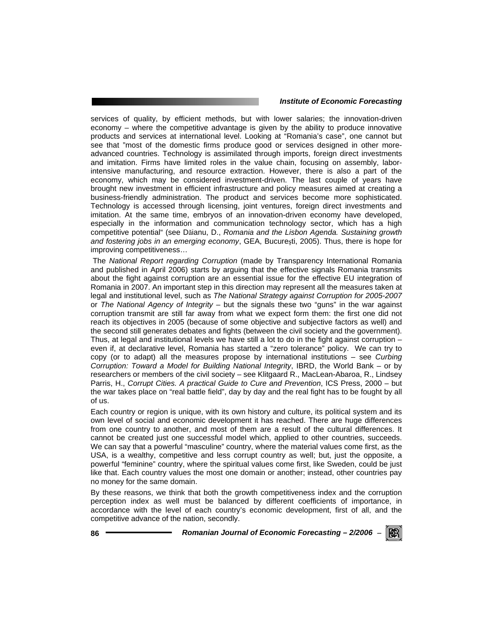services of quality, by efficient methods, but with lower salaries; the innovation-driven economy – where the competitive advantage is given by the ability to produce innovative products and services at international level. Looking at "Romania's case", one cannot but see that "most of the domestic firms produce good or services designed in other moreadvanced countries. Technology is assimilated through imports, foreign direct investments and imitation. Firms have limited roles in the value chain, focusing on assembly, laborintensive manufacturing, and resource extraction. However, there is also a part of the economy, which may be considered investment-driven. The last couple of years have brought new investment in efficient infrastructure and policy measures aimed at creating a business-friendly administration. The product and services become more sophisticated. Technology is accessed through licensing, joint ventures, foreign direct investments and imitation. At the same time, embryos of an innovation-driven economy have developed, especially in the information and communication technology sector, which has a high competitive potential" (see Dăianu, D., *Romania and the Lisbon Agenda. Sustaining growth and fostering jobs in an emerging economy*, GEA, Bucureşti, 2005). Thus, there is hope for improving competitiveness…

 The *National Report regarding Corruption* (made by Transparency International Romania and published in April 2006) starts by arguing that the effective signals Romania transmits about the fight against corruption are an essential issue for the effective EU integration of Romania in 2007. An important step in this direction may represent all the measures taken at legal and institutional level, such as *The National Strategy against Corruption for 2005-2007* or *The National Agency of Integrity* – but the signals these two "guns" in the war against corruption transmit are still far away from what we expect form them: the first one did not reach its objectives in 2005 (because of some objective and subjective factors as well) and the second still generates debates and fights (between the civil society and the government). Thus, at legal and institutional levels we have still a lot to do in the fight against corruption – even if, at declarative level, Romania has started a "zero tolerance" policy. We can try to copy (or to adapt) all the measures propose by international institutions – see *Curbing Corruption: Toward a Model for Building National Integrity*, IBRD, the World Bank – or by researchers or members of the civil society – see Klitgaard R., MacLean-Abaroa, R., Lindsey Parris, H., *Corrupt Cities. A practical Guide to Cure and Prevention*, ICS Press, 2000 – but the war takes place on "real battle field", day by day and the real fight has to be fought by all of us.

Each country or region is unique, with its own history and culture, its political system and its own level of social and economic development it has reached. There are huge differences from one country to another, and most of them are a result of the cultural differences. It cannot be created just one successful model which, applied to other countries, succeeds. We can say that a powerful "masculine" country, where the material values come first, as the USA, is a wealthy, competitive and less corrupt country as well; but, just the opposite, a powerful "feminine" country, where the spiritual values come first, like Sweden, could be just like that. Each country values the most one domain or another; instead, other countries pay no money for the same domain.

By these reasons, we think that both the growth competitiveness index and the corruption perception index as well must be balanced by different coefficients of importance, in accordance with the level of each country's economic development, first of all, and the competitive advance of the nation, secondly.

**86** *Romanian Journal of Economic Forecasting – 2/2006* <sup>−</sup>

KRI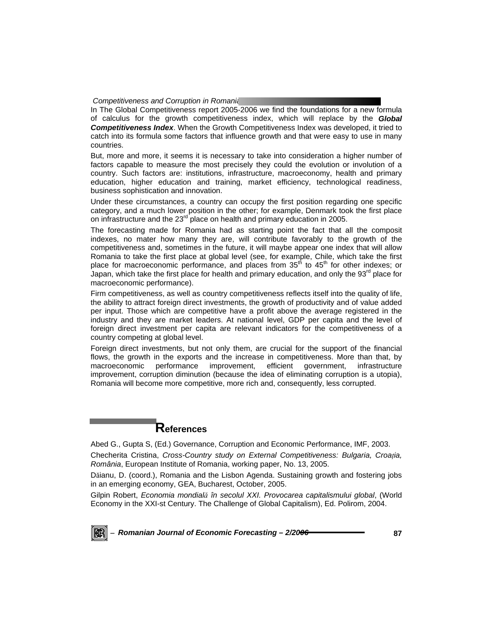In The Global Competitiveness report 2005-2006 we find the foundations for a new formula of calculus for the growth competitiveness index, which will replace by the *Global Competitiveness Index*. When the Growth Competitiveness Index was developed, it tried to catch into its formula some factors that influence growth and that were easy to use in many countries.

But, more and more, it seems it is necessary to take into consideration a higher number of factors capable to measure the most precisely they could the evolution or involution of a country. Such factors are: institutions, infrastructure, macroeconomy, health and primary education, higher education and training, market efficiency, technological readiness, business sophistication and innovation.

Under these circumstances, a country can occupy the first position regarding one specific category, and a much lower position in the other; for example, Denmark took the first place on infrastructure and the 23<sup>rd</sup> place on health and primary education in 2005.

The forecasting made for Romania had as starting point the fact that all the composit indexes, no mater how many they are, will contribute favorably to the growth of the competitiveness and, sometimes in the future, it will maybe appear one index that will allow Romania to take the first place at global level (see, for example, Chile, which take the first place for macroeconomic performance, and places from  $35<sup>th</sup>$  to  $45<sup>th</sup>$  for other indexes; or Japan, which take the first place for health and primary education, and only the  $93<sup>rd</sup>$  place for macroeconomic performance).

Firm competitiveness, as well as country competitiveness reflects itself into the quality of life, the ability to attract foreign direct investments, the growth of productivity and of value added per input. Those which are competitive have a profit above the average registered in the industry and they are market leaders. At national level, GDP per capita and the level of foreign direct investment per capita are relevant indicators for the competitiveness of a country competing at global level.

Foreign direct investments, but not only them, are crucial for the support of the financial flows, the growth in the exports and the increase in competitiveness. More than that, by macroeconomic performance improvement, efficient government, infrastructure improvement, corruption diminution (because the idea of eliminating corruption is a utopia), Romania will become more competitive, more rich and, consequently, less corrupted.

# **References**

Abed G., Gupta S, (Ed.) Governance, Corruption and Economic Performance, IMF, 2003.

Checherita Cristina, *Cross-Country study on External Competitiveness: Bulgaria, Croaţia, România*, European Institute of Romania, working paper, No. 13, 2005.

Dăianu, D. (coord.), Romania and the Lisbon Agenda. Sustaining growth and fostering jobs in an emerging economy, GEA, Bucharest, October, 2005.

Gilpin Robert, *Economia mondială în secolul XXI. Provocarea capitalismului global*, (World Economy in the XXI-st Century. The Challenge of Global Capitalism), Ed. Polirom, 2004.